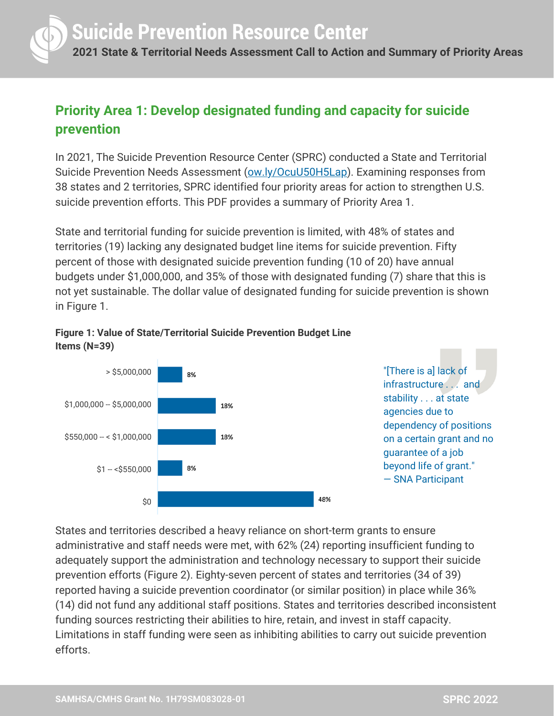

### **Priority Area 1: Develop designated funding and capacity for suicide prevention**

In 2021, The Suicide Prevention Resource Center (SPRC) conducted a State and Territorial Suicide Prevention Needs Assessment [\(ow.ly/OcuU50H5Lap\)](http://ow.ly/OcuU50H5Lap). Examining responses from 38 states and 2 territories, SPRC identified four priority areas for action to strengthen U.S. suicide prevention efforts. This PDF provides a summary of Priority Area 1.

State and territorial funding for suicide prevention is limited, with 48% of states and territories (19) lacking any designated budget line items for suicide prevention. Fifty percent of those with designated suicide prevention funding (10 of 20) have annual budgets under \$1,000,000, and 35% of those with designated funding (7) share that this is not yet sustainable. The dollar value of designated funding for suicide prevention is shown in Figure 1.





States and territories described a heavy reliance on short-term grants to ensure administrative and staff needs were met, with 62% (24) reporting insufficient funding to adequately support the administration and technology necessary to support their suicide prevention efforts (Figure 2). Eighty-seven percent of states and territories (34 of 39) reported having a suicide prevention coordinator (or similar position) in place while 36% (14) did not fund any additional staff positions. States and territories described inconsistent funding sources restricting their abilities to hire, retain, and invest in staff capacity. Limitations in staff funding were seen as inhibiting abilities to carry out suicide prevention efforts.